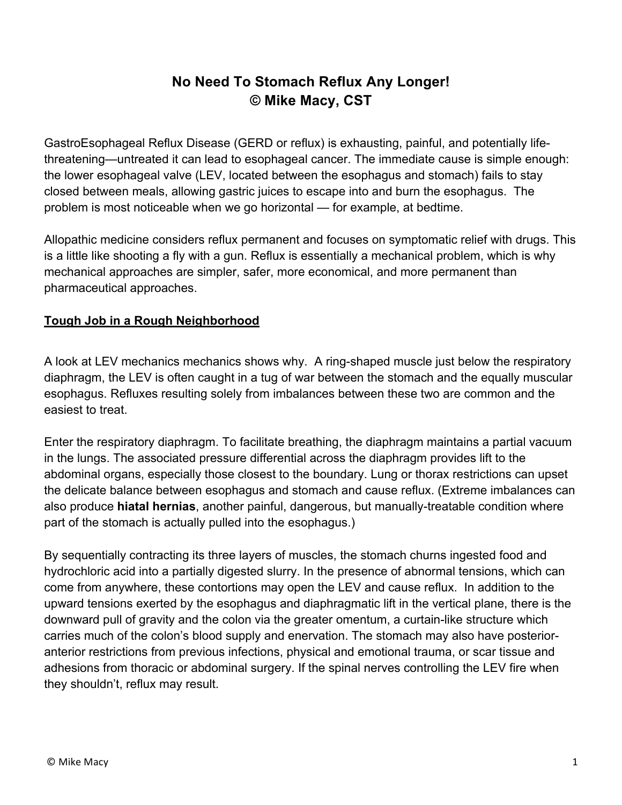## **No Need To Stomach Reflux Any Longer! © Mike Macy, CST**

GastroEsophageal Reflux Disease (GERD or reflux) is exhausting, painful, and potentially lifethreatening—untreated it can lead to esophageal cancer. The immediate cause is simple enough: the lower esophageal valve (LEV, located between the esophagus and stomach) fails to stay closed between meals, allowing gastric juices to escape into and burn the esophagus. The problem is most noticeable when we go horizontal — for example, at bedtime.

Allopathic medicine considers reflux permanent and focuses on symptomatic relief with drugs. This is a little like shooting a fly with a gun. Reflux is essentially a mechanical problem, which is why mechanical approaches are simpler, safer, more economical, and more permanent than pharmaceutical approaches.

## **Tough Job in a Rough Neighborhood**

A look at LEV mechanics mechanics shows why. A ring-shaped muscle just below the respiratory diaphragm, the LEV is often caught in a tug of war between the stomach and the equally muscular esophagus. Refluxes resulting solely from imbalances between these two are common and the easiest to treat.

Enter the respiratory diaphragm. To facilitate breathing, the diaphragm maintains a partial vacuum in the lungs. The associated pressure differential across the diaphragm provides lift to the abdominal organs, especially those closest to the boundary. Lung or thorax restrictions can upset the delicate balance between esophagus and stomach and cause reflux. (Extreme imbalances can also produce **hiatal hernias**, another painful, dangerous, but manually-treatable condition where part of the stomach is actually pulled into the esophagus.)

By sequentially contracting its three layers of muscles, the stomach churns ingested food and hydrochloric acid into a partially digested slurry. In the presence of abnormal tensions, which can come from anywhere, these contortions may open the LEV and cause reflux. In addition to the upward tensions exerted by the esophagus and diaphragmatic lift in the vertical plane, there is the downward pull of gravity and the colon via the greater omentum, a curtain-like structure which carries much of the colon's blood supply and enervation. The stomach may also have posterioranterior restrictions from previous infections, physical and emotional trauma, or scar tissue and adhesions from thoracic or abdominal surgery. If the spinal nerves controlling the LEV fire when they shouldn't, reflux may result.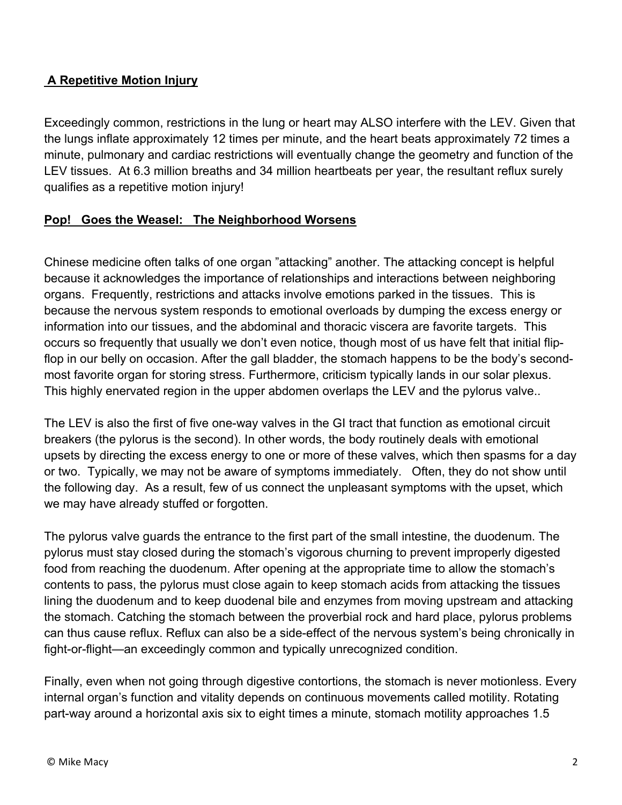## **A Repetitive Motion Injury**

Exceedingly common, restrictions in the lung or heart may ALSO interfere with the LEV. Given that the lungs inflate approximately 12 times per minute, and the heart beats approximately 72 times a minute, pulmonary and cardiac restrictions will eventually change the geometry and function of the LEV tissues. At 6.3 million breaths and 34 million heartbeats per year, the resultant reflux surely qualifies as a repetitive motion injury!

## **Pop! Goes the Weasel: The Neighborhood Worsens**

Chinese medicine often talks of one organ "attacking" another. The attacking concept is helpful because it acknowledges the importance of relationships and interactions between neighboring organs. Frequently, restrictions and attacks involve emotions parked in the tissues. This is because the nervous system responds to emotional overloads by dumping the excess energy or information into our tissues, and the abdominal and thoracic viscera are favorite targets. This occurs so frequently that usually we don't even notice, though most of us have felt that initial flipflop in our belly on occasion. After the gall bladder, the stomach happens to be the body's secondmost favorite organ for storing stress. Furthermore, criticism typically lands in our solar plexus. This highly enervated region in the upper abdomen overlaps the LEV and the pylorus valve..

The LEV is also the first of five one-way valves in the GI tract that function as emotional circuit breakers (the pylorus is the second). In other words, the body routinely deals with emotional upsets by directing the excess energy to one or more of these valves, which then spasms for a day or two. Typically, we may not be aware of symptoms immediately. Often, they do not show until the following day. As a result, few of us connect the unpleasant symptoms with the upset, which we may have already stuffed or forgotten.

The pylorus valve guards the entrance to the first part of the small intestine, the duodenum. The pylorus must stay closed during the stomach's vigorous churning to prevent improperly digested food from reaching the duodenum. After opening at the appropriate time to allow the stomach's contents to pass, the pylorus must close again to keep stomach acids from attacking the tissues lining the duodenum and to keep duodenal bile and enzymes from moving upstream and attacking the stomach. Catching the stomach between the proverbial rock and hard place, pylorus problems can thus cause reflux. Reflux can also be a side-effect of the nervous system's being chronically in fight-or-flight—an exceedingly common and typically unrecognized condition.

Finally, even when not going through digestive contortions, the stomach is never motionless. Every internal organ's function and vitality depends on continuous movements called motility. Rotating part-way around a horizontal axis six to eight times a minute, stomach motility approaches 1.5